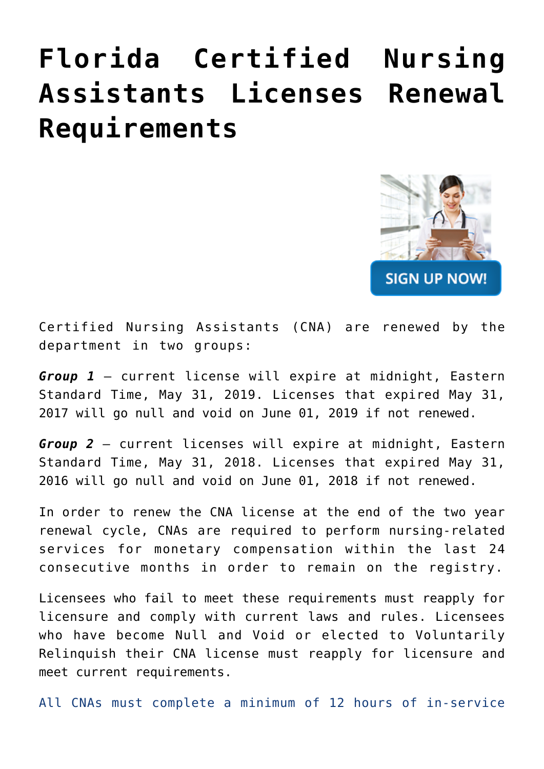## **[Florida Certified Nursing](https://cnainservicehours.com/cna-licenses-renewal/) [Assistants Licenses Renewal](https://cnainservicehours.com/cna-licenses-renewal/) [Requirements](https://cnainservicehours.com/cna-licenses-renewal/)**



Certified Nursing Assistants (CNA) are renewed by the department in two groups:

*Group 1* – current license will expire at midnight, Eastern Standard Time, May 31, 2019. Licenses that expired May 31, 2017 will go null and void on June 01, 2019 if not renewed.

*Group 2* – current licenses will expire at midnight, Eastern Standard Time, May 31, 2018. Licenses that expired May 31, 2016 will go null and void on June 01, 2018 if not renewed.

In order to renew the CNA license at the end of the two year renewal cycle, CNAs are required to perform nursing-related services for monetary compensation within the last 24 consecutive months in order to remain on the registry.

Licensees who fail to meet these requirements must reapply for licensure and comply with current laws and rules. Licensees who have become Null and Void or elected to Voluntarily Relinquish their CNA license must reapply for licensure and meet current requirements.

All CNAs must complete a minimum of 12 hours of in-service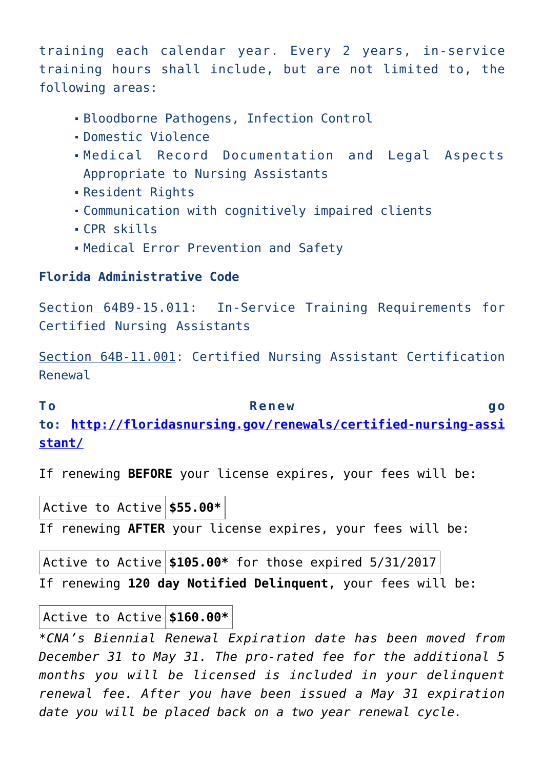training each calendar year. Every 2 years, in-service training hours shall include, but are not limited to, the following areas:

- Bloodborne Pathogens, Infection Control
- Domestic Violence
- Medical Record Documentation and Legal Aspects Appropriate to Nursing Assistants
- Resident Rights
- Communication with cognitively impaired clients
- CPR skills
- Medical Error Prevention and Safety

## **Florida Administrative Code**

[Section 64B9-15.011:](https://www.flrules.org/gateway/RuleNo.asp?title=CERTIFIED%20NURSING%20ASSISTANTS&ID=64B9-15.011) In-Service Training Requirements for Certified Nursing Assistants

[Section 64B-11.001:](https://www.flrules.org/gateway/RuleNo.asp?title=MAINTENANCE%20OF%20MEDICAL%20RECORDS&ID=64B-11.001) Certified Nursing Assistant Certification Renewal

## **To Renew go**

**to: [http://floridasnursing.gov/renewals/certified-nursing-assi](http://floridasnursing.gov/renewals/certified-nursing-assistant/) [stant/](http://floridasnursing.gov/renewals/certified-nursing-assistant/)**

If renewing **BEFORE** your license expires, your fees will be:

| $ $ Active to Active $ $ \$55.00* $ $                      |  |  |  |  |
|------------------------------------------------------------|--|--|--|--|
| If renewing AFTER your license expires, your fees will be: |  |  |  |  |

| $ \texttt{Active to Active} $ \$105.00* for those expired 5/31/2017 $ $ |  |  |  |  |  |  |
|-------------------------------------------------------------------------|--|--|--|--|--|--|
| If renewing 120 day Notified Delinquent, your fees will be:             |  |  |  |  |  |  |

## Active to Active **\$160.00\***

*\*CNA's Biennial Renewal Expiration date has been moved from December 31 to May 31. The pro-rated fee for the additional 5 months you will be licensed is included in your delinquent renewal fee. After you have been issued a May 31 expiration date you will be placed back on a two year renewal cycle.*